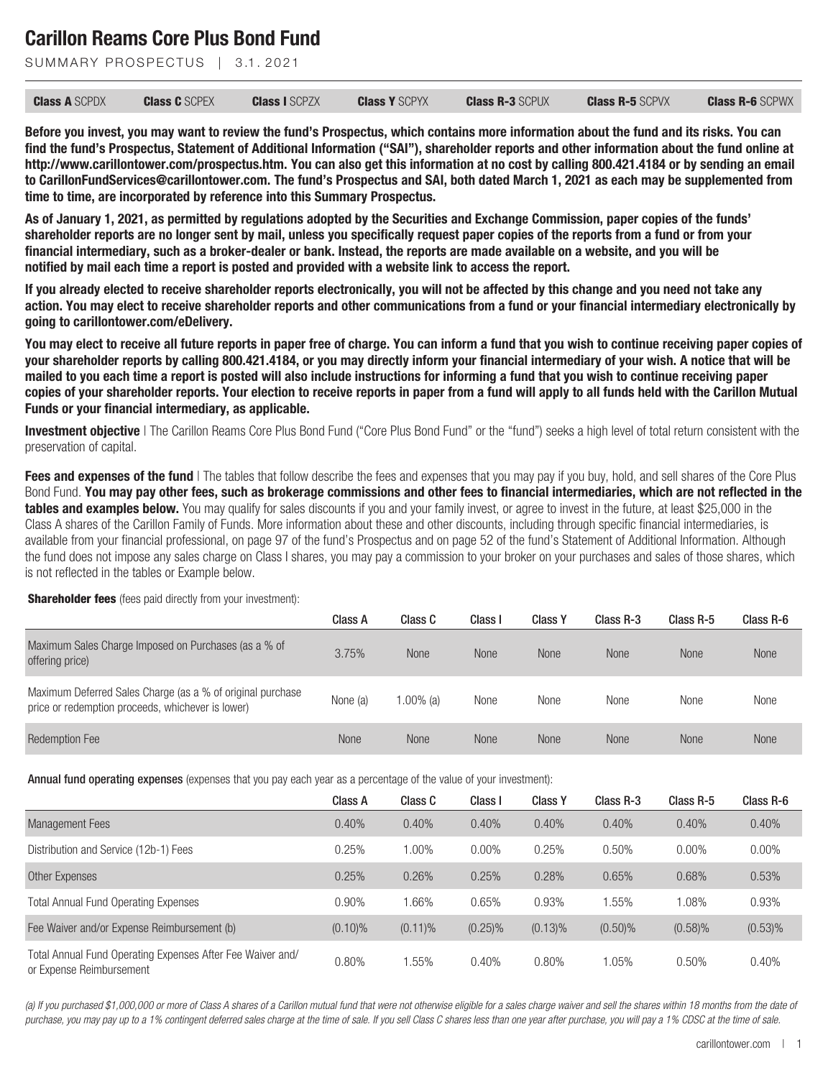SUMMARY PROSPECTUS | 3.1, 2021

| <b>Class A SCPDX</b> | <b>Class C</b> SCPEX | <b>Class I SCPZX</b> | <b>Class Y SCPYX</b> | <b>Class R-3 SCPUX</b> | <b>Class R-5 SCPVX</b> | <b>Class R-6 SCPWX</b> |
|----------------------|----------------------|----------------------|----------------------|------------------------|------------------------|------------------------|
|----------------------|----------------------|----------------------|----------------------|------------------------|------------------------|------------------------|

**Before you invest, you may want to review the fund's Prospectus, which contains more information about the fund and its risks. You can find the fund's Prospectus, Statement of Additional Information ("SAI"), shareholder reports and other information about the fund online at http://www.carillontower.com/prospectus.htm. You can also get this information at no cost by calling 800.421.4184 or by sending an email to CarillonFundServices@carillontower.com. The fund's Prospectus and SAI, both dated March 1, 2021 as each may be supplemented from time to time, are incorporated by reference into this Summary Prospectus.**

**As of January 1, 2021, as permitted by regulations adopted by the Securities and Exchange Commission, paper copies of the funds' shareholder reports are no longer sent by mail, unless you specifically request paper copies of the reports from a fund or from your financial intermediary, such as a broker-dealer or bank. Instead, the reports are made available on a website, and you will be notified by mail each time a report is posted and provided with a website link to access the report.**

**If you already elected to receive shareholder reports electronically, you will not be affected by this change and you need not take any action. You may elect to receive shareholder reports and other communications from a fund or your financial intermediary electronically by going to carillontower.com/eDelivery.**

**You may elect to receive all future reports in paper free of charge. You can inform a fund that you wish to continue receiving paper copies of your shareholder reports by calling 800.421.4184, or you may directly inform your financial intermediary of your wish. A notice that will be mailed to you each time a report is posted will also include instructions for informing a fund that you wish to continue receiving paper copies of your shareholder reports. Your election to receive reports in paper from a fund will apply to all funds held with the Carillon Mutual Funds or your financial intermediary, as applicable.**

**Investment objective** I The Carillon Reams Core Plus Bond Fund "Core Plus Bond Fund" or the "fund") seeks a high level of total return consistent with the preservation of capital.

**Fees and expenses of the fund** | The tables that follow describe the fees and expenses that you may pay if you buy, hold, and sell shares of the Core Plus Bond Fund. **You may pay other fees, such as brokerage commissions and other fees to financial intermediaries, which are not reflected in the tables and examples below.** You may qualify for sales discounts if you and your family invest, or agree to invest in the future, at least \$25,000 in the Class A shares of the Carillon Family of Funds. More information about these and other discounts, including through specific financial intermediaries, is available from your financial professional, on page 97 of the fund's Prospectus and on page 52 of the fund's Statement of Additional Information. Although the fund does not impose any sales charge on Class I shares, you may pay a commission to your broker on your purchases and sales of those shares, which is not reflected in the tables or Example below.

**Shareholder fees** (fees paid directly from your investment):

|                                                                                                                 | Class A  | Class C      | Class I     | <b>Class Y</b> | Class R-3   | Class R-5   | Class R-6   |
|-----------------------------------------------------------------------------------------------------------------|----------|--------------|-------------|----------------|-------------|-------------|-------------|
| Maximum Sales Charge Imposed on Purchases (as a % of<br>offering price)                                         | 3.75%    | <b>None</b>  | <b>None</b> | <b>None</b>    | <b>None</b> | <b>None</b> | <b>None</b> |
| Maximum Deferred Sales Charge (as a % of original purchase<br>price or redemption proceeds, whichever is lower) | None (a) | $1.00\%$ (a) | None        | None           | None        | None        | None        |
| <b>Redemption Fee</b>                                                                                           | None     | <b>None</b>  | <b>None</b> | <b>None</b>    | <b>None</b> | <b>None</b> | <b>None</b> |

Annual fund operating expenses (expenses that you pay each year as a percentage of the value of your investment):

|                                                                                        | Class A    | Class C    | Class I    | <b>Class Y</b> | Class R-3  | Class R-5  | Class R-6  |
|----------------------------------------------------------------------------------------|------------|------------|------------|----------------|------------|------------|------------|
| <b>Management Fees</b>                                                                 | 0.40%      | 0.40%      | 0.40%      | 0.40%          | 0.40%      | 0.40%      | 0.40%      |
| Distribution and Service (12b-1) Fees                                                  | 0.25%      | $0.00\%$   | $0.00\%$   | 0.25%          | 0.50%      | $0.00\%$   | $0.00\%$   |
| Other Expenses                                                                         | 0.25%      | 0.26%      | 0.25%      | 0.28%          | 0.65%      | 0.68%      | 0.53%      |
| <b>Total Annual Fund Operating Expenses</b>                                            | 0.90%      | .66%       | 0.65%      | 0.93%          | .55%       | 1.08%      | 0.93%      |
| Fee Waiver and/or Expense Reimbursement (b)                                            | $(0.10)\%$ | $(0.11)\%$ | $(0.25)\%$ | $(0.13)\%$     | $(0.50)\%$ | $(0.58)\%$ | $(0.53)$ % |
| Total Annual Fund Operating Expenses After Fee Waiver and/<br>or Expense Reimbursement | 0.80%      | .55%       | 0.40%      | $0.80\%$       | 1.05%      | 0.50%      | 0.40%      |

*(a) If you purchased \$1,000,000 or more of Class A shares of a Carillon mutual fund that were not otherwise eligible for a sales charge waiver and sell the shares within 18 months from the date of purchase, you may pay up to a 1% contingent deferred sales charge at the time of sale. If you sell Class C shares less than one year after purchase, you will pay a 1% CDSC at the time of sale.*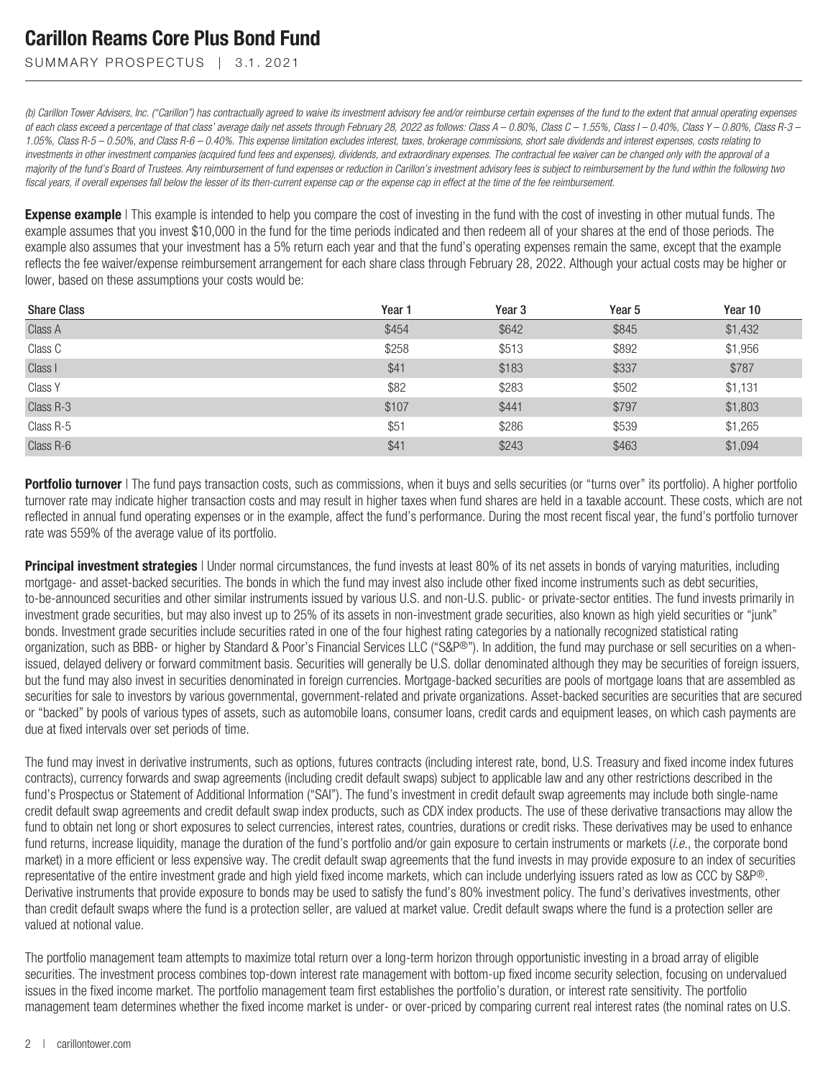SUMMARY PROSPECTUS | 3.1.2021

*(b) Carillon Tower Advisers, Inc. ("Carillon") has contractually agreed to waive its investment advisory fee and/or reimburse certain expenses of the fund to the extent that annual operating expenses of each class exceed a percentage of that class' average daily net assets through February 28, 2022 as follows: Class A – 0.80%, Class C – 1.55%, Class I – 0.40%, Class Y – 0.80%, Class R-3 – 1.05%, Class R-5 – 0.50%, and Class R-6 – 0.40%. This expense limitation excludes interest, taxes, brokerage commissions, short sale dividends and interest expenses, costs relating to investments in other investment companies (acquired fund fees and expenses), dividends, and extraordinary expenses. The contractual fee waiver can be changed only with the approval of a majority of the fund's Board of Trustees. Any reimbursement of fund expenses or reduction in Carillon's investment advisory fees is subject to reimbursement by the fund within the following two fiscal years, if overall expenses fall below the lesser of its then-current expense cap or the expense cap in effect at the time of the fee reimbursement.*

**Expense example** | This example is intended to help you compare the cost of investing in the fund with the cost of investing in other mutual funds. The example assumes that you invest \$10,000 in the fund for the time periods indicated and then redeem all of your shares at the end of those periods. The example also assumes that your investment has a 5% return each year and that the fund's operating expenses remain the same, except that the example reflects the fee waiver/expense reimbursement arrangement for each share class through February 28, 2022. Although your actual costs may be higher or lower, based on these assumptions your costs would be:

| <b>Share Class</b> | Year 1 | Year <sub>3</sub> | Year <sub>5</sub> | Year 10 |
|--------------------|--------|-------------------|-------------------|---------|
| Class A            | \$454  | \$642             | \$845             | \$1,432 |
| Class C            | \$258  | \$513             | \$892             | \$1,956 |
| Class I            | \$41   | \$183             | \$337             | \$787   |
| Class Y            | \$82   | \$283             | \$502             | \$1,131 |
| Class R-3          | \$107  | \$441             | \$797             | \$1,803 |
| Class R-5          | \$51   | \$286             | \$539             | \$1,265 |
| Class R-6          | \$41   | \$243             | \$463             | \$1,094 |

**Portfolio turnover** | The fund pays transaction costs, such as commissions, when it buys and sells securities (or "turns over" its portfolio). A higher portfolio turnover rate may indicate higher transaction costs and may result in higher taxes when fund shares are held in a taxable account. These costs, which are not reflected in annual fund operating expenses or in the example, affect the fund's performance. During the most recent fiscal year, the fund's portfolio turnover rate was 559% of the average value of its portfolio.

**Principal investment strategies** I Under normal circumstances, the fund invests at least 80% of its net assets in bonds of varying maturities, including mortgage- and asset-backed securities. The bonds in which the fund may invest also include other fixed income instruments such as debt securities, to-be-announced securities and other similar instruments issued by various U.S. and non-U.S. public- or private-sector entities. The fund invests primarily in investment grade securities, but may also invest up to 25% of its assets in non-investment grade securities, also known as high yield securities or "junk" bonds. Investment grade securities include securities rated in one of the four highest rating categories by a nationally recognized statistical rating organization, such as BBB- or higher by Standard & Poor's Financial Services LLC ("S&P®"). In addition, the fund may purchase or sell securities on a whenissued, delayed delivery or forward commitment basis. Securities will generally be U.S. dollar denominated although they may be securities of foreign issuers, but the fund may also invest in securities denominated in foreign currencies. Mortgage-backed securities are pools of mortgage loans that are assembled as securities for sale to investors by various governmental, government-related and private organizations. Asset-backed securities are securities that are secured or "backed" by pools of various types of assets, such as automobile loans, consumer loans, credit cards and equipment leases, on which cash payments are due at fixed intervals over set periods of time.

The fund may invest in derivative instruments, such as options, futures contracts (including interest rate, bond, U.S. Treasury and fixed income index futures contracts), currency forwards and swap agreements (including credit default swaps) subject to applicable law and any other restrictions described in the fund's Prospectus or Statement of Additional Information ("SAI"). The fund's investment in credit default swap agreements may include both single-name credit default swap agreements and credit default swap index products, such as CDX index products. The use of these derivative transactions may allow the fund to obtain net long or short exposures to select currencies, interest rates, countries, durations or credit risks. These derivatives may be used to enhance fund returns, increase liquidity, manage the duration of the fund's portfolio and/or gain exposure to certain instruments or markets (*i.e.*, the corporate bond market) in a more efficient or less expensive way. The credit default swap agreements that the fund invests in may provide exposure to an index of securities representative of the entire investment grade and high yield fixed income markets, which can include underlying issuers rated as low as CCC by S&P®. Derivative instruments that provide exposure to bonds may be used to satisfy the fund's 80% investment policy. The fund's derivatives investments, other than credit default swaps where the fund is a protection seller, are valued at market value. Credit default swaps where the fund is a protection seller are valued at notional value.

The portfolio management team attempts to maximize total return over a long-term horizon through opportunistic investing in a broad array of eligible securities. The investment process combines top-down interest rate management with bottom-up fixed income security selection, focusing on undervalued issues in the fixed income market. The portfolio management team first establishes the portfolio's duration, or interest rate sensitivity. The portfolio management team determines whether the fixed income market is under- or over-priced by comparing current real interest rates (the nominal rates on U.S.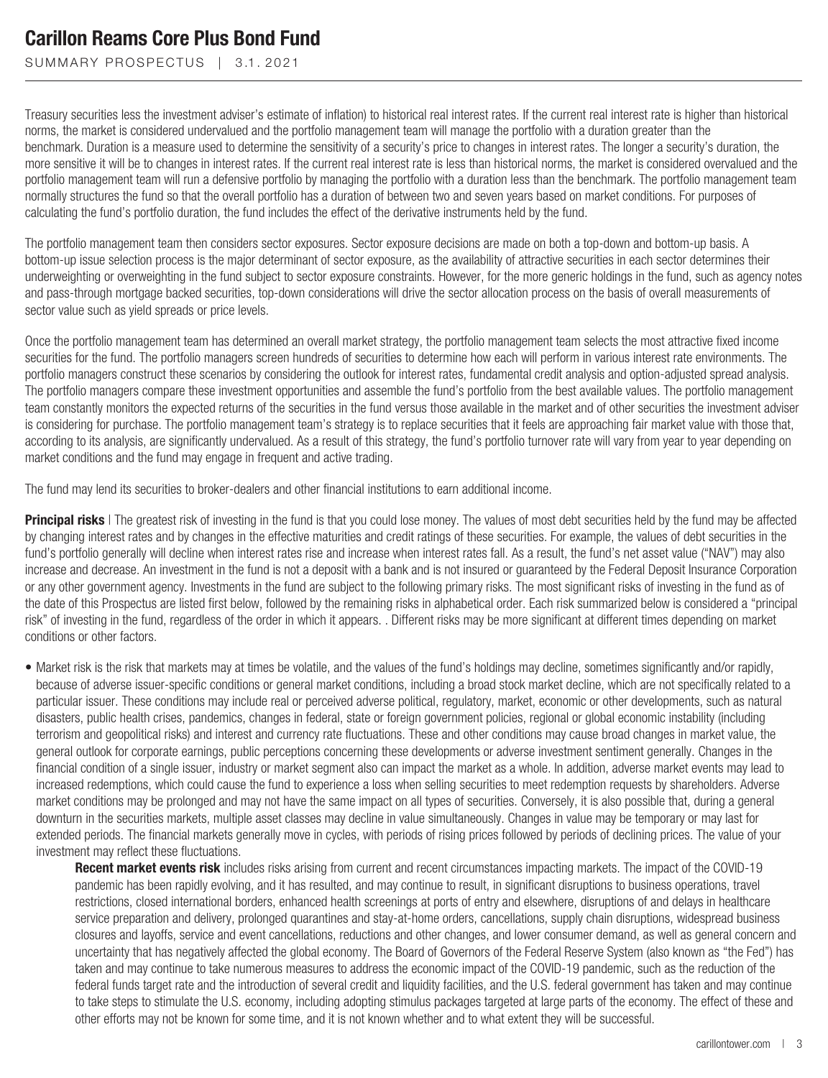SUMMARY PROSPECTUS | 3.1.2021

Treasury securities less the investment adviser's estimate of inflation) to historical real interest rates. If the current real interest rate is higher than historical norms, the market is considered undervalued and the portfolio management team will manage the portfolio with a duration greater than the benchmark. Duration is a measure used to determine the sensitivity of a security's price to changes in interest rates. The longer a security's duration, the more sensitive it will be to changes in interest rates. If the current real interest rate is less than historical norms, the market is considered overvalued and the portfolio management team will run a defensive portfolio by managing the portfolio with a duration less than the benchmark. The portfolio management team normally structures the fund so that the overall portfolio has a duration of between two and seven years based on market conditions. For purposes of calculating the fund's portfolio duration, the fund includes the effect of the derivative instruments held by the fund.

The portfolio management team then considers sector exposures. Sector exposure decisions are made on both a top-down and bottom-up basis. A bottom-up issue selection process is the major determinant of sector exposure, as the availability of attractive securities in each sector determines their underweighting or overweighting in the fund subject to sector exposure constraints. However, for the more generic holdings in the fund, such as agency notes and pass-through mortgage backed securities, top-down considerations will drive the sector allocation process on the basis of overall measurements of sector value such as yield spreads or price levels.

Once the portfolio management team has determined an overall market strategy, the portfolio management team selects the most attractive fixed income securities for the fund. The portfolio managers screen hundreds of securities to determine how each will perform in various interest rate environments. The portfolio managers construct these scenarios by considering the outlook for interest rates, fundamental credit analysis and option-adjusted spread analysis. The portfolio managers compare these investment opportunities and assemble the fund's portfolio from the best available values. The portfolio management team constantly monitors the expected returns of the securities in the fund versus those available in the market and of other securities the investment adviser is considering for purchase. The portfolio management team's strategy is to replace securities that it feels are approaching fair market value with those that, according to its analysis, are significantly undervalued. As a result of this strategy, the fund's portfolio turnover rate will vary from year to year depending on market conditions and the fund may engage in frequent and active trading.

The fund may lend its securities to broker-dealers and other financial institutions to earn additional income.

**Principal risks** | The greatest risk of investing in the fund is that you could lose money. The values of most debt securities held by the fund may be affected by changing interest rates and by changes in the effective maturities and credit ratings of these securities. For example, the values of debt securities in the fund's portfolio generally will decline when interest rates rise and increase when interest rates fall. As a result, the fund's net asset value ("NAV") may also increase and decrease. An investment in the fund is not a deposit with a bank and is not insured or guaranteed by the Federal Deposit Insurance Corporation or any other government agency. Investments in the fund are subject to the following primary risks. The most significant risks of investing in the fund as of the date of this Prospectus are listed first below, followed by the remaining risks in alphabetical order. Each risk summarized below is considered a "principal risk" of investing in the fund, regardless of the order in which it appears. . Different risks may be more significant at different times depending on market conditions or other factors.

• Market risk is the risk that markets may at times be volatile, and the values of the fund's holdings may decline, sometimes significantly and/or rapidly, because of adverse issuer-specific conditions or general market conditions, including a broad stock market decline, which are not specifically related to a particular issuer. These conditions may include real or perceived adverse political, regulatory, market, economic or other developments, such as natural disasters, public health crises, pandemics, changes in federal, state or foreign government policies, regional or global economic instability (including terrorism and geopolitical risks) and interest and currency rate fluctuations. These and other conditions may cause broad changes in market value, the general outlook for corporate earnings, public perceptions concerning these developments or adverse investment sentiment generally. Changes in the financial condition of a single issuer, industry or market segment also can impact the market as a whole. In addition, adverse market events may lead to increased redemptions, which could cause the fund to experience a loss when selling securities to meet redemption requests by shareholders. Adverse market conditions may be prolonged and may not have the same impact on all types of securities. Conversely, it is also possible that, during a general downturn in the securities markets, multiple asset classes may decline in value simultaneously. Changes in value may be temporary or may last for extended periods. The financial markets generally move in cycles, with periods of rising prices followed by periods of declining prices. The value of your investment may reflect these fluctuations.

**Recent market events risk** includes risks arising from current and recent circumstances impacting markets. The impact of the COVID-19 pandemic has been rapidly evolving, and it has resulted, and may continue to result, in significant disruptions to business operations, travel restrictions, closed international borders, enhanced health screenings at ports of entry and elsewhere, disruptions of and delays in healthcare service preparation and delivery, prolonged quarantines and stay-at-home orders, cancellations, supply chain disruptions, widespread business closures and layoffs, service and event cancellations, reductions and other changes, and lower consumer demand, as well as general concern and uncertainty that has negatively affected the global economy. The Board of Governors of the Federal Reserve System (also known as "the Fed") has taken and may continue to take numerous measures to address the economic impact of the COVID-19 pandemic, such as the reduction of the federal funds target rate and the introduction of several credit and liquidity facilities, and the U.S. federal government has taken and may continue to take steps to stimulate the U.S. economy, including adopting stimulus packages targeted at large parts of the economy. The effect of these and other efforts may not be known for some time, and it is not known whether and to what extent they will be successful.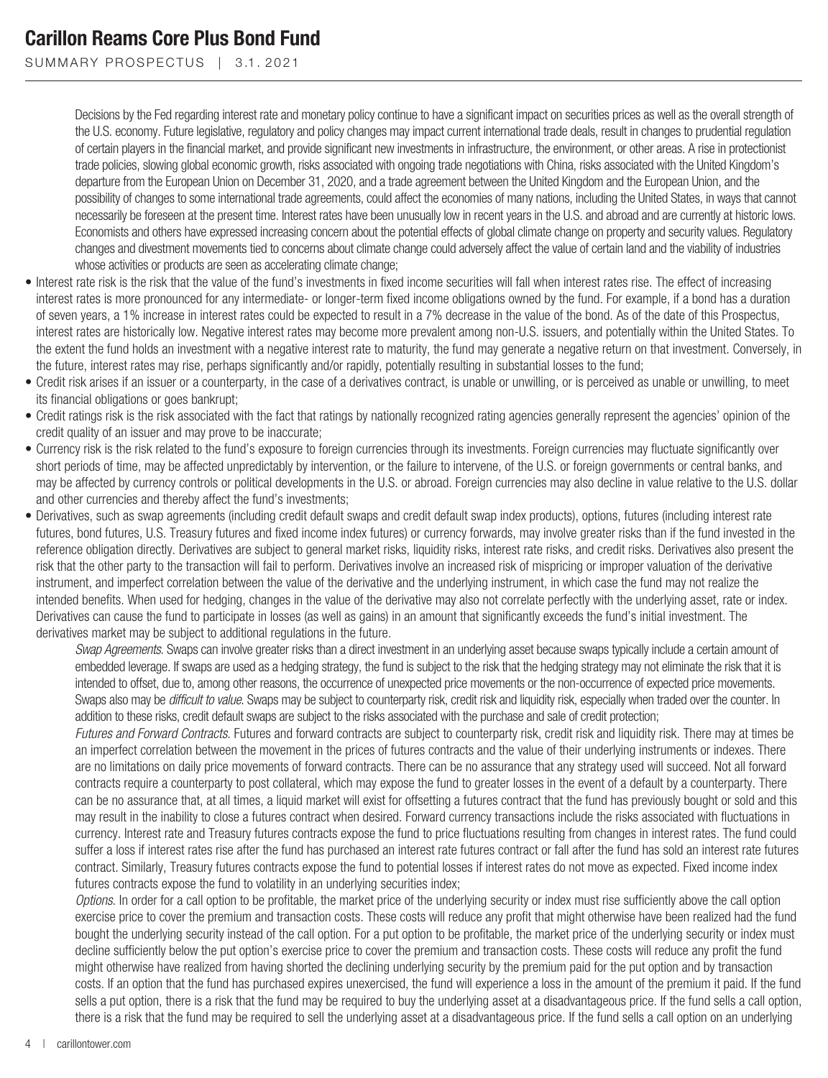SUMMARY PROSPECTUS | 3.1.2021

Decisions by the Fed regarding interest rate and monetary policy continue to have a significant impact on securities prices as well as the overall strength of the U.S. economy. Future legislative, regulatory and policy changes may impact current international trade deals, result in changes to prudential regulation of certain players in the financial market, and provide significant new investments in infrastructure, the environment, or other areas. A rise in protectionist trade policies, slowing global economic growth, risks associated with ongoing trade negotiations with China, risks associated with the United Kingdom's departure from the European Union on December 31, 2020, and a trade agreement between the United Kingdom and the European Union, and the possibility of changes to some international trade agreements, could affect the economies of many nations, including the United States, in ways that cannot necessarily be foreseen at the present time. Interest rates have been unusually low in recent years in the U.S. and abroad and are currently at historic lows. Economists and others have expressed increasing concern about the potential effects of global climate change on property and security values. Regulatory changes and divestment movements tied to concerns about climate change could adversely affect the value of certain land and the viability of industries whose activities or products are seen as accelerating climate change;

- Interest rate risk is the risk that the value of the fund's investments in fixed income securities will fall when interest rates rise. The effect of increasing interest rates is more pronounced for any intermediate- or longer-term fixed income obligations owned by the fund. For example, if a bond has a duration of seven years, a 1% increase in interest rates could be expected to result in a 7% decrease in the value of the bond. As of the date of this Prospectus, interest rates are historically low. Negative interest rates may become more prevalent among non-U.S. issuers, and potentially within the United States. To the extent the fund holds an investment with a negative interest rate to maturity, the fund may generate a negative return on that investment. Conversely, in the future, interest rates may rise, perhaps significantly and/or rapidly, potentially resulting in substantial losses to the fund;
- Credit risk arises if an issuer or a counterparty, in the case of a derivatives contract, is unable or unwilling, or is perceived as unable or unwilling, to meet its financial obligations or goes bankrupt;
- Credit ratings risk is the risk associated with the fact that ratings by nationally recognized rating agencies generally represent the agencies' opinion of the credit quality of an issuer and may prove to be inaccurate;
- Currency risk is the risk related to the fund's exposure to foreign currencies through its investments. Foreign currencies may fluctuate significantly over short periods of time, may be affected unpredictably by intervention, or the failure to intervene, of the U.S. or foreign governments or central banks, and may be affected by currency controls or political developments in the U.S. or abroad. Foreign currencies may also decline in value relative to the U.S. dollar and other currencies and thereby affect the fund's investments;
- Derivatives, such as swap agreements (including credit default swaps and credit default swap index products), options, futures (including interest rate futures, bond futures, U.S. Treasury futures and fixed income index futures) or currency forwards, may involve greater risks than if the fund invested in the reference obligation directly. Derivatives are subject to general market risks, liquidity risks, interest rate risks, and credit risks. Derivatives also present the risk that the other party to the transaction will fail to perform. Derivatives involve an increased risk of mispricing or improper valuation of the derivative instrument, and imperfect correlation between the value of the derivative and the underlying instrument, in which case the fund may not realize the intended benefits. When used for hedging, changes in the value of the derivative may also not correlate perfectly with the underlying asset, rate or index. Derivatives can cause the fund to participate in losses (as well as gains) in an amount that significantly exceeds the fund's initial investment. The derivatives market may be subject to additional regulations in the future.

*Swap Agreements*. Swaps can involve greater risks than a direct investment in an underlying asset because swaps typically include a certain amount of embedded leverage. If swaps are used as a hedging strategy, the fund is subject to the risk that the hedging strategy may not eliminate the risk that it is intended to offset, due to, among other reasons, the occurrence of unexpected price movements or the non-occurrence of expected price movements. Swaps also may be *difficult to value*. Swaps may be subject to counterparty risk, credit risk and liquidity risk, especially when traded over the counter. In addition to these risks, credit default swaps are subject to the risks associated with the purchase and sale of credit protection;

*Futures and Forward Contracts*. Futures and forward contracts are subject to counterparty risk, credit risk and liquidity risk. There may at times be an imperfect correlation between the movement in the prices of futures contracts and the value of their underlying instruments or indexes. There are no limitations on daily price movements of forward contracts. There can be no assurance that any strategy used will succeed. Not all forward contracts require a counterparty to post collateral, which may expose the fund to greater losses in the event of a default by a counterparty. There can be no assurance that, at all times, a liquid market will exist for offsetting a futures contract that the fund has previously bought or sold and this may result in the inability to close a futures contract when desired. Forward currency transactions include the risks associated with fluctuations in currency. Interest rate and Treasury futures contracts expose the fund to price fluctuations resulting from changes in interest rates. The fund could suffer a loss if interest rates rise after the fund has purchased an interest rate futures contract or fall after the fund has sold an interest rate futures contract. Similarly, Treasury futures contracts expose the fund to potential losses if interest rates do not move as expected. Fixed income index futures contracts expose the fund to volatility in an underlying securities index;

*Options*. In order for a call option to be profitable, the market price of the underlying security or index must rise sufficiently above the call option exercise price to cover the premium and transaction costs. These costs will reduce any profit that might otherwise have been realized had the fund bought the underlying security instead of the call option. For a put option to be profitable, the market price of the underlying security or index must decline sufficiently below the put option's exercise price to cover the premium and transaction costs. These costs will reduce any profit the fund might otherwise have realized from having shorted the declining underlying security by the premium paid for the put option and by transaction costs. If an option that the fund has purchased expires unexercised, the fund will experience a loss in the amount of the premium it paid. If the fund sells a put option, there is a risk that the fund may be required to buy the underlying asset at a disadvantageous price. If the fund sells a call option, there is a risk that the fund may be required to sell the underlying asset at a disadvantageous price. If the fund sells a call option on an underlying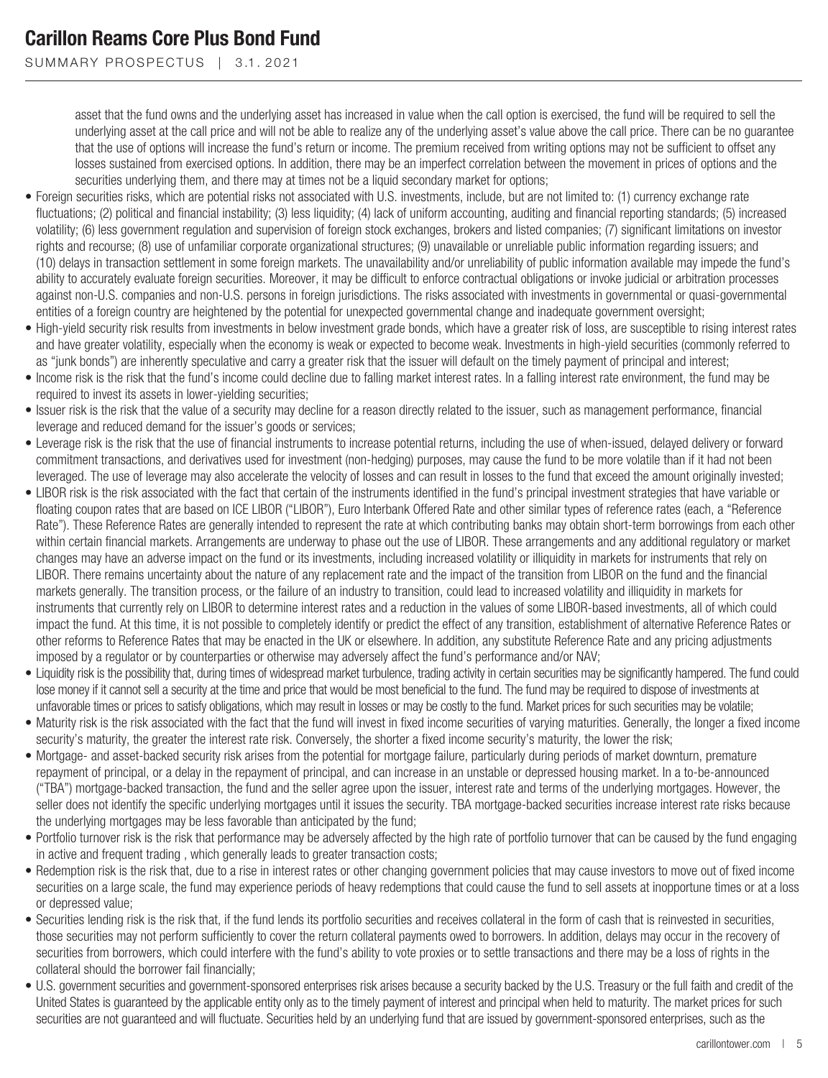SUMMARY PROSPECTUS | 3.1.2021

asset that the fund owns and the underlying asset has increased in value when the call option is exercised, the fund will be required to sell the underlying asset at the call price and will not be able to realize any of the underlying asset's value above the call price. There can be no guarantee that the use of options will increase the fund's return or income. The premium received from writing options may not be sufficient to offset any losses sustained from exercised options. In addition, there may be an imperfect correlation between the movement in prices of options and the securities underlying them, and there may at times not be a liquid secondary market for options;

- Foreign securities risks, which are potential risks not associated with U.S. investments, include, but are not limited to: (1) currency exchange rate fluctuations; (2) political and financial instability; (3) less liquidity; (4) lack of uniform accounting, auditing and financial reporting standards; (5) increased volatility; (6) less government regulation and supervision of foreign stock exchanges, brokers and listed companies; (7) significant limitations on investor rights and recourse; (8) use of unfamiliar corporate organizational structures; (9) unavailable or unreliable public information regarding issuers; and (10) delays in transaction settlement in some foreign markets. The unavailability and/or unreliability of public information available may impede the fund's ability to accurately evaluate foreign securities. Moreover, it may be difficult to enforce contractual obligations or invoke judicial or arbitration processes against non-U.S. companies and non-U.S. persons in foreign jurisdictions. The risks associated with investments in governmental or quasi-governmental entities of a foreign country are heightened by the potential for unexpected governmental change and inadequate government oversight;
- High-yield security risk results from investments in below investment grade bonds, which have a greater risk of loss, are susceptible to rising interest rates and have greater volatility, especially when the economy is weak or expected to become weak. Investments in high-yield securities (commonly referred to as "junk bonds") are inherently speculative and carry a greater risk that the issuer will default on the timely payment of principal and interest;
- Income risk is the risk that the fund's income could decline due to falling market interest rates. In a falling interest rate environment, the fund may be required to invest its assets in lower-yielding securities;
- Issuer risk is the risk that the value of a security may decline for a reason directly related to the issuer, such as management performance, financial leverage and reduced demand for the issuer's goods or services;
- Leverage risk is the risk that the use of financial instruments to increase potential returns, including the use of when-issued, delayed delivery or forward commitment transactions, and derivatives used for investment (non-hedging) purposes, may cause the fund to be more volatile than if it had not been leveraged. The use of leverage may also accelerate the velocity of losses and can result in losses to the fund that exceed the amount originally invested;
- LIBOR risk is the risk associated with the fact that certain of the instruments identified in the fund's principal investment strategies that have variable or floating coupon rates that are based on ICE LIBOR ("LIBOR"), Euro Interbank Offered Rate and other similar types of reference rates (each, a "Reference Rate"). These Reference Rates are generally intended to represent the rate at which contributing banks may obtain short-term borrowings from each other within certain financial markets. Arrangements are underway to phase out the use of LIBOR. These arrangements and any additional regulatory or market changes may have an adverse impact on the fund or its investments, including increased volatility or illiquidity in markets for instruments that rely on LIBOR. There remains uncertainty about the nature of any replacement rate and the impact of the transition from LIBOR on the fund and the financial markets generally. The transition process, or the failure of an industry to transition, could lead to increased volatility and illiquidity in markets for instruments that currently rely on LIBOR to determine interest rates and a reduction in the values of some LIBOR-based investments, all of which could impact the fund. At this time, it is not possible to completely identify or predict the effect of any transition, establishment of alternative Reference Rates or other reforms to Reference Rates that may be enacted in the UK or elsewhere. In addition, any substitute Reference Rate and any pricing adjustments imposed by a regulator or by counterparties or otherwise may adversely affect the fund's performance and/or NAV;
- Liquidity risk is the possibility that, during times of widespread market turbulence, trading activity in certain securities may be significantly hampered. The fund could lose money if it cannot sell a security at the time and price that would be most beneficial to the fund. The fund may be required to dispose of investments at unfavorable times or prices to satisfy obligations, which may result in losses or may be costly to the fund. Market prices for such securities may be volatile;
- Maturity risk is the risk associated with the fact that the fund will invest in fixed income securities of varying maturities. Generally, the longer a fixed income security's maturity, the greater the interest rate risk. Conversely, the shorter a fixed income security's maturity, the lower the risk;
- Mortgage- and asset-backed security risk arises from the potential for mortgage failure, particularly during periods of market downturn, premature repayment of principal, or a delay in the repayment of principal, and can increase in an unstable or depressed housing market. In a to-be-announced ("TBA") mortgage-backed transaction, the fund and the seller agree upon the issuer, interest rate and terms of the underlying mortgages. However, the seller does not identify the specific underlying mortgages until it issues the security. TBA mortgage-backed securities increase interest rate risks because the underlying mortgages may be less favorable than anticipated by the fund;
- Portfolio turnover risk is the risk that performance may be adversely affected by the high rate of portfolio turnover that can be caused by the fund engaging in active and frequent trading , which generally leads to greater transaction costs;
- Redemption risk is the risk that, due to a rise in interest rates or other changing government policies that may cause investors to move out of fixed income securities on a large scale, the fund may experience periods of heavy redemptions that could cause the fund to sell assets at inopportune times or at a loss or depressed value;
- Securities lending risk is the risk that, if the fund lends its portfolio securities and receives collateral in the form of cash that is reinvested in securities, those securities may not perform sufficiently to cover the return collateral payments owed to borrowers. In addition, delays may occur in the recovery of securities from borrowers, which could interfere with the fund's ability to vote proxies or to settle transactions and there may be a loss of rights in the collateral should the borrower fail financially;
- U.S. government securities and government-sponsored enterprises risk arises because a security backed by the U.S. Treasury or the full faith and credit of the United States is guaranteed by the applicable entity only as to the timely payment of interest and principal when held to maturity. The market prices for such securities are not guaranteed and will fluctuate. Securities held by an underlying fund that are issued by government-sponsored enterprises, such as the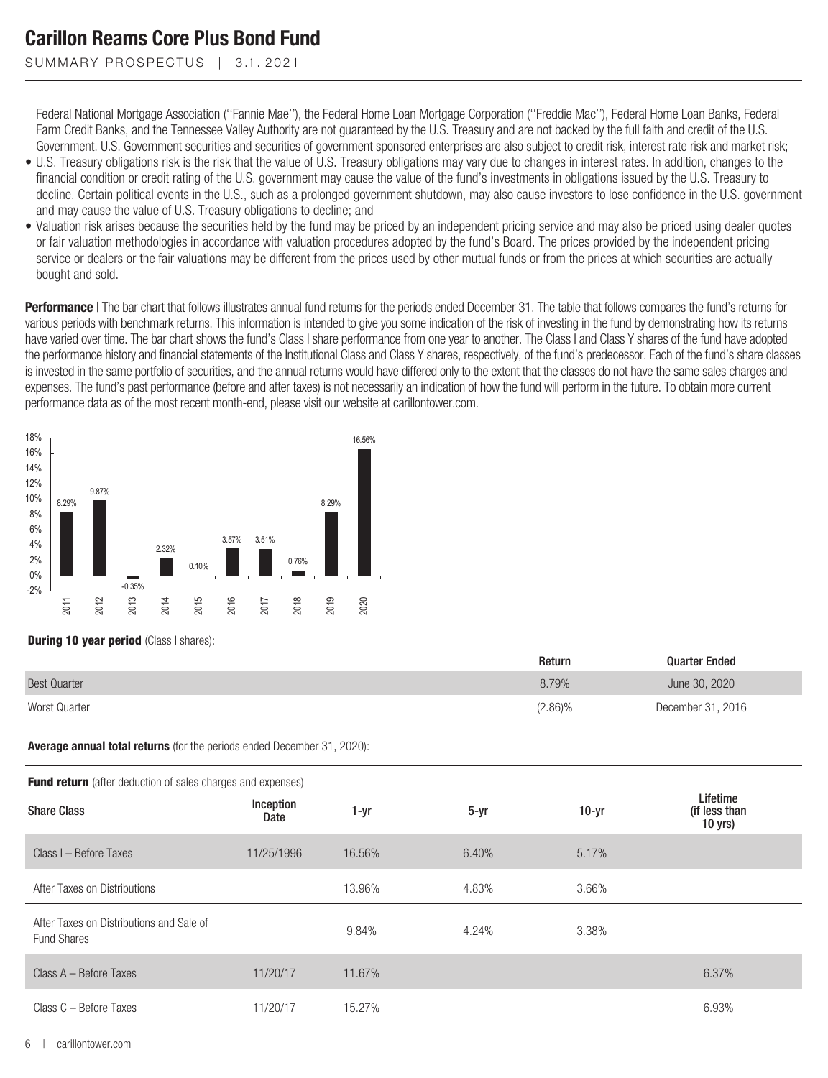SUMMARY PROSPECTUS | 3.1.2021

Federal National Mortgage Association (''Fannie Mae''), the Federal Home Loan Mortgage Corporation (''Freddie Mac''), Federal Home Loan Banks, Federal Farm Credit Banks, and the Tennessee Valley Authority are not guaranteed by the U.S. Treasury and are not backed by the full faith and credit of the U.S. Government. U.S. Government securities and securities of government sponsored enterprises are also subject to credit risk, interest rate risk and market risk;

- U.S. Treasury obligations risk is the risk that the value of U.S. Treasury obligations may vary due to changes in interest rates. In addition, changes to the financial condition or credit rating of the U.S. government may cause the value of the fund's investments in obligations issued by the U.S. Treasury to decline. Certain political events in the U.S., such as a prolonged government shutdown, may also cause investors to lose confidence in the U.S. government and may cause the value of U.S. Treasury obligations to decline; and
- Valuation risk arises because the securities held by the fund may be priced by an independent pricing service and may also be priced using dealer quotes or fair valuation methodologies in accordance with valuation procedures adopted by the fund's Board. The prices provided by the independent pricing service or dealers or the fair valuations may be different from the prices used by other mutual funds or from the prices at which securities are actually bought and sold.

**Performance** | The bar chart that follows illustrates annual fund returns for the periods ended December 31. The table that follows compares the fund's returns for various periods with benchmark returns. This information is intended to give you some indication of the risk of investing in the fund by demonstrating how its returns have varied over time. The bar chart shows the fund's Class I share performance from one year to another. The Class I and Class Y shares of the fund have adopted the performance history and financial statements of the Institutional Class and Class Y shares, respectively, of the fund's predecessor. Each of the fund's share classes is invested in the same portfolio of securities, and the annual returns would have differed only to the extent that the classes do not have the same sales charges and expenses. The fund's past performance (before and after taxes) is not necessarily an indication of how the fund will perform in the future. To obtain more current performance data as of the most recent month-end, please visit our website at carillontower.com.



**During 10 year period** (Class I shares):

|                     | Return     | <b>Quarter Ended</b> |
|---------------------|------------|----------------------|
| <b>Best Quarter</b> | 8.79%      | June 30, 2020        |
| Worst Quarter       | $(2.86)\%$ | December 31, 2016    |

**Average annual total returns** (for the periods ended December 31, 2020):

| <b>Fund return</b> (after deduction of sales charges and expenses) |                   |        |          |         |  |  |  |  |  |
|--------------------------------------------------------------------|-------------------|--------|----------|---------|--|--|--|--|--|
| <b>Share Class</b>                                                 | Inception<br>Date | 1-yr   | $5 - vr$ | $10-vr$ |  |  |  |  |  |
| Class I - Before Taxes                                             | 11/25/1996        | 16.56% | 6.40%    | 5.17%   |  |  |  |  |  |
| $\cdots$                                                           |                   | 100001 | 1.0001   | 0.000   |  |  |  |  |  |

|                                                                | υαισ       |        |       |       | 10 yrs) |
|----------------------------------------------------------------|------------|--------|-------|-------|---------|
| Class I - Before Taxes                                         | 11/25/1996 | 16.56% | 6.40% | 5.17% |         |
| After Taxes on Distributions                                   |            | 13.96% | 4.83% | 3.66% |         |
| After Taxes on Distributions and Sale of<br><b>Fund Shares</b> |            | 9.84%  | 4.24% | 3.38% |         |
| Class A - Before Taxes                                         | 11/20/17   | 11.67% |       |       | 6.37%   |
| Class C - Before Taxes                                         | 11/20/17   | 15.27% |       |       | 6.93%   |

Lifetime (if less than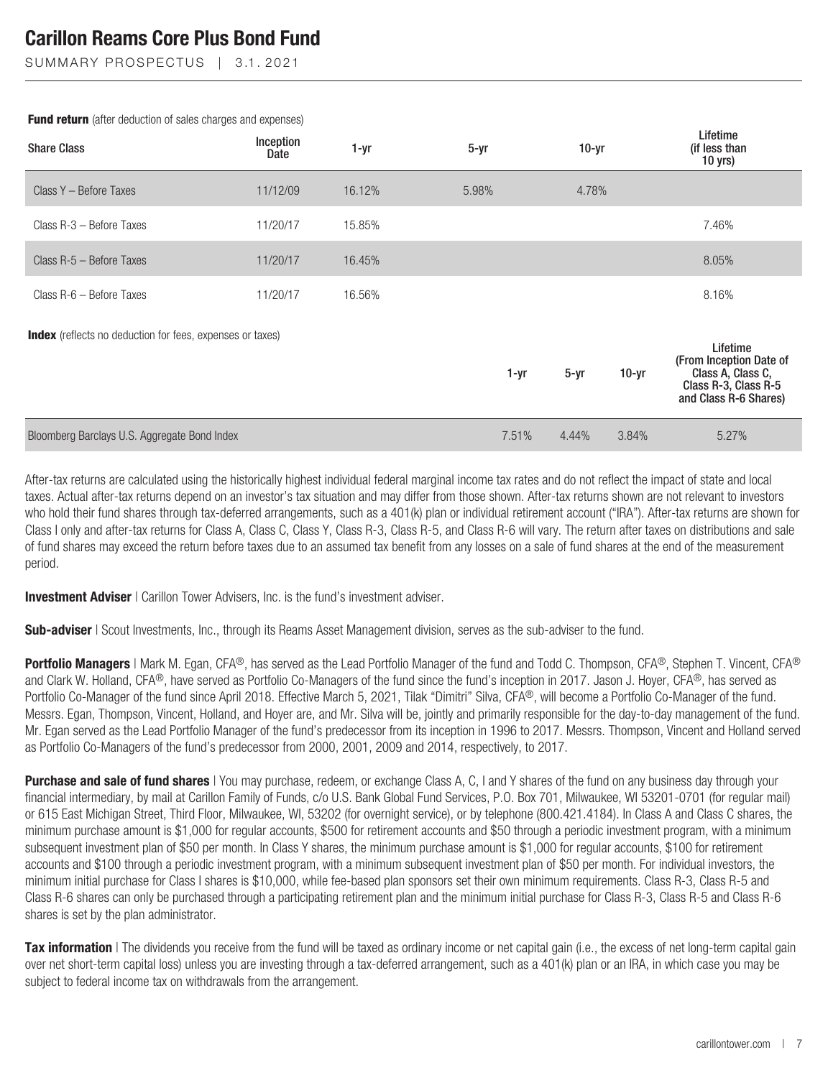SUMMARY PROSPECTUS | 3.1.2021

| <b>Share Class</b>                                               | Inception<br>Date | $1 - yr$ | $5 - yr$ | $10-yr$  |         | Lifetime<br>(if less than<br>$10$ yrs)                                                                    |
|------------------------------------------------------------------|-------------------|----------|----------|----------|---------|-----------------------------------------------------------------------------------------------------------|
| Class Y - Before Taxes                                           | 11/12/09          | 16.12%   | 5.98%    | 4.78%    |         |                                                                                                           |
| Class R-3 - Before Taxes                                         | 11/20/17          | 15.85%   |          |          |         | 7.46%                                                                                                     |
| Class R-5 - Before Taxes                                         | 11/20/17          | 16.45%   |          |          |         | 8.05%                                                                                                     |
| Class R-6 - Before Taxes                                         | 11/20/17          | 16.56%   |          |          |         | 8.16%                                                                                                     |
| <b>Index</b> (reflects no deduction for fees, expenses or taxes) |                   |          | 1-yr     | $5 - yr$ | $10-yr$ | Lifetime<br>(From Inception Date of<br>Class A, Class C,<br>Class R-3, Class R-5<br>and Class R-6 Shares) |
| Bloomberg Barclays U.S. Aggregate Bond Index                     |                   |          | 7.51%    | 4.44%    | 3.84%   | 5.27%                                                                                                     |

**Fund return** (after deduction of sales charges and expenses)

After-tax returns are calculated using the historically highest individual federal marginal income tax rates and do not reflect the impact of state and local taxes. Actual after-tax returns depend on an investor's tax situation and may differ from those shown. After-tax returns shown are not relevant to investors who hold their fund shares through tax-deferred arrangements, such as a 401(k) plan or individual retirement account ("IRA"). After-tax returns are shown for Class I only and after-tax returns for Class A, Class C, Class Y, Class R-3, Class R-5, and Class R-6 will vary. The return after taxes on distributions and sale of fund shares may exceed the return before taxes due to an assumed tax benefit from any losses on a sale of fund shares at the end of the measurement period.

**Investment Adviser** | Carillon Tower Advisers, Inc. is the fund's investment adviser.

**Sub-adviser** | Scout Investments, Inc., through its Reams Asset Management division, serves as the sub-adviser to the fund.

**Portfolio Managers** | Mark M. Egan, CFA®, has served as the Lead Portfolio Manager of the fund and Todd C. Thompson, CFA®, Stephen T. Vincent, CFA® and Clark W. Holland, CFA®, have served as Portfolio Co-Managers of the fund since the fund's inception in 2017. Jason J. Hoyer, CFA®, has served as Portfolio Co-Manager of the fund since April 2018. Effective March 5, 2021, Tilak "Dimitri" Silva, CFA®, will become a Portfolio Co-Manager of the fund. Messrs. Egan, Thompson, Vincent, Holland, and Hoyer are, and Mr. Silva will be, jointly and primarily responsible for the day-to-day management of the fund. Mr. Egan served as the Lead Portfolio Manager of the fund's predecessor from its inception in 1996 to 2017. Messrs. Thompson, Vincent and Holland served as Portfolio Co-Managers of the fund's predecessor from 2000, 2001, 2009 and 2014, respectively, to 2017.

**Purchase and sale of fund shares** | You may purchase, redeem, or exchange Class A, C, I and Y shares of the fund on any business day through your financial intermediary, by mail at Carillon Family of Funds, c/o U.S. Bank Global Fund Services, P.O. Box 701, Milwaukee, WI 53201-0701 (for regular mail) or 615 East Michigan Street, Third Floor, Milwaukee, WI, 53202 (for overnight service), or by telephone (800.421.4184). In Class A and Class C shares, the minimum purchase amount is \$1,000 for regular accounts, \$500 for retirement accounts and \$50 through a periodic investment program, with a minimum subsequent investment plan of \$50 per month. In Class Y shares, the minimum purchase amount is \$1,000 for regular accounts, \$100 for retirement accounts and \$100 through a periodic investment program, with a minimum subsequent investment plan of \$50 per month. For individual investors, the minimum initial purchase for Class I shares is \$10,000, while fee-based plan sponsors set their own minimum requirements. Class R-3, Class R-5 and Class R-6 shares can only be purchased through a participating retirement plan and the minimum initial purchase for Class R-3, Class R-5 and Class R-6 shares is set by the plan administrator.

**Tax information** I The dividends you receive from the fund will be taxed as ordinary income or net capital gain (i.e., the excess of net long-term capital gain over net short-term capital loss) unless you are investing through a tax-deferred arrangement, such as a 401(k) plan or an IRA, in which case you may be subject to federal income tax on withdrawals from the arrangement.